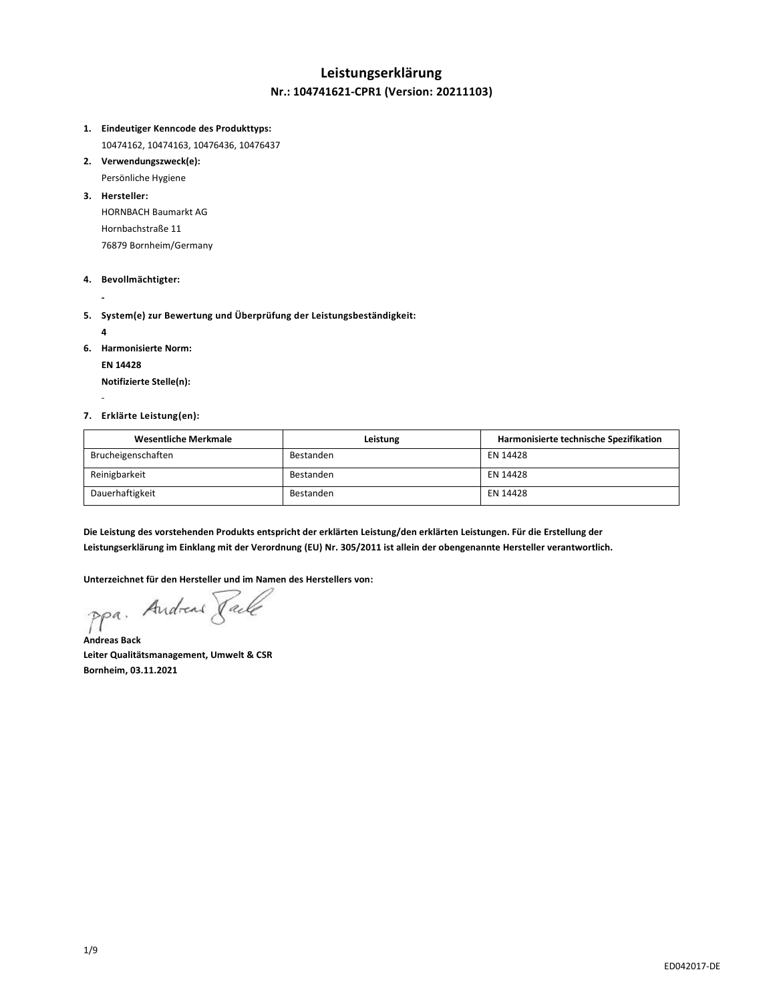## **Leistungserklärung Nr.: 104741621-CPR1 (Version: 20211103)**

#### **1. Eindeutiger Kenncode des Produkttyps:**

10474162, 10474163, 10476436, 10476437

**2. Verwendungszweck(e):** Persönliche Hygiene

#### **3. Hersteller:**

HORNBACH Baumarkt AG Hornbachstraße 11 76879 Bornheim/Germany

#### **4. Bevollmächtigter:**

**-**

## **5. System(e) zur Bewertung und Überprüfung der Leistungsbeständigkeit:**

**4**

-

**6. Harmonisierte Norm:**

**EN 14428**

**Notifizierte Stelle(n):**

### **7. Erklärte Leistung(en):**

| Wesentliche Merkmale | Leistung  | Harmonisierte technische Spezifikation |
|----------------------|-----------|----------------------------------------|
| Brucheigenschaften   | Bestanden | EN 14428                               |
| Reinigbarkeit        | Bestanden | EN 14428                               |
| Dauerhaftigkeit      | Bestanden | EN 14428                               |

**Die Leistung des vorstehenden Produkts entspricht der erklärten Leistung/den erklärten Leistungen. Für die Erstellung der Leistungserklärung im Einklang mit der Verordnung (EU) Nr. 305/2011 ist allein der obengenannte Hersteller verantwortlich.**

Unterzeichnet für den Hersteller und im Namen des Herstellers von:<br>Ppa. Andread *Jale* 

**Andreas Back Leiter Qualitätsmanagement, Umwelt & CSR Bornheim, 03.11.2021**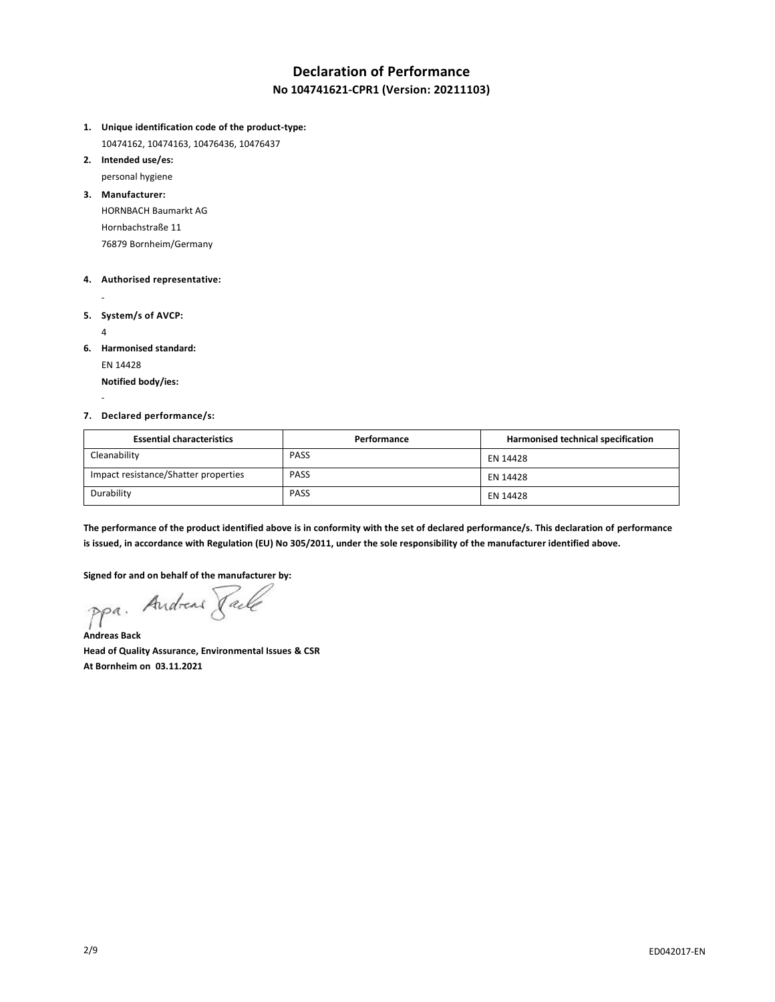## **Declaration of Performance No 104741621-CPR1 (Version: 20211103)**

- **1. Unique identification code of the product-type:**
- 10474162, 10474163, 10476436, 10476437
- **2. Intended use/es:**

personal hygiene

**3. Manufacturer:**

HORNBACH Baumarkt AG Hornbachstraße 11 76879 Bornheim/Germany

### **4. Authorised representative:**

**5. System/s of AVCP:**

4

-

-

**6. Harmonised standard:**

EN 14428

**Notified body/ies:**

### **7. Declared performance/s:**

| <b>Essential characteristics</b>     | Performance | Harmonised technical specification |
|--------------------------------------|-------------|------------------------------------|
| Cleanability                         | <b>PASS</b> | EN 14428                           |
| Impact resistance/Shatter properties | <b>PASS</b> | EN 14428                           |
| Durability                           | <b>PASS</b> | EN 14428                           |

**The performance of the product identified above is in conformity with the set of declared performance/s. This declaration of performance is issued, in accordance with Regulation (EU) No 305/2011, under the sole responsibility of the manufacturer identified above.**

**Signed for and on behalf of the manufacturer by:**

**Andreas Back**

**Head of Quality Assurance, Environmental Issues & CSR At Bornheim on 03.11.2021**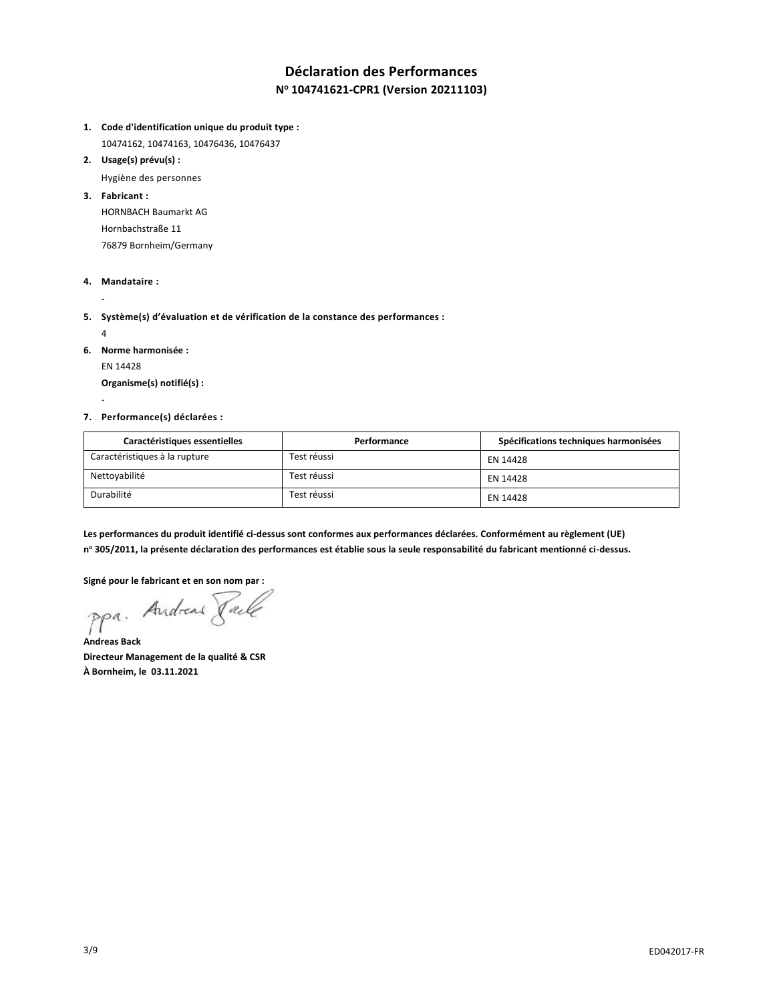## **Déclaration des Performances N <sup>o</sup> 104741621-CPR1 (Version 20211103)**

- **1. Code d'identification unique du produit type :**
- 10474162, 10474163, 10476436, 10476437
- **2. Usage(s) prévu(s) :**

Hygiène des personnes

**3. Fabricant :**

HORNBACH Baumarkt AG Hornbachstraße 11 76879 Bornheim/Germany

**4. Mandataire :**

-

- **5. Système(s) d'évaluation et de vérification de la constance des performances :**
	- 4

-

- **6. Norme harmonisée :**
	- EN 14428

**Organisme(s) notifié(s) :**

**7. Performance(s) déclarées :**

| Caractéristiques essentielles | Performance | Spécifications techniques harmonisées |
|-------------------------------|-------------|---------------------------------------|
| Caractéristiques à la rupture | Test réussi | EN 14428                              |
| Nettoyabilité                 | Test réussi | EN 14428                              |
| Durabilité                    | Test réussi | EN 14428                              |

**Les performances du produit identifié ci-dessus sont conformes aux performances déclarées. Conformément au règlement (UE) n <sup>o</sup> 305/2011, la présente déclaration des performances est établie sous la seule responsabilité du fabricant mentionné ci-dessus.**

**Signé pour le fabricant et en son nom par :**

ppa. Andreas Jack

**Andreas Back Directeur Management de la qualité & CSR À Bornheim, le 03.11.2021**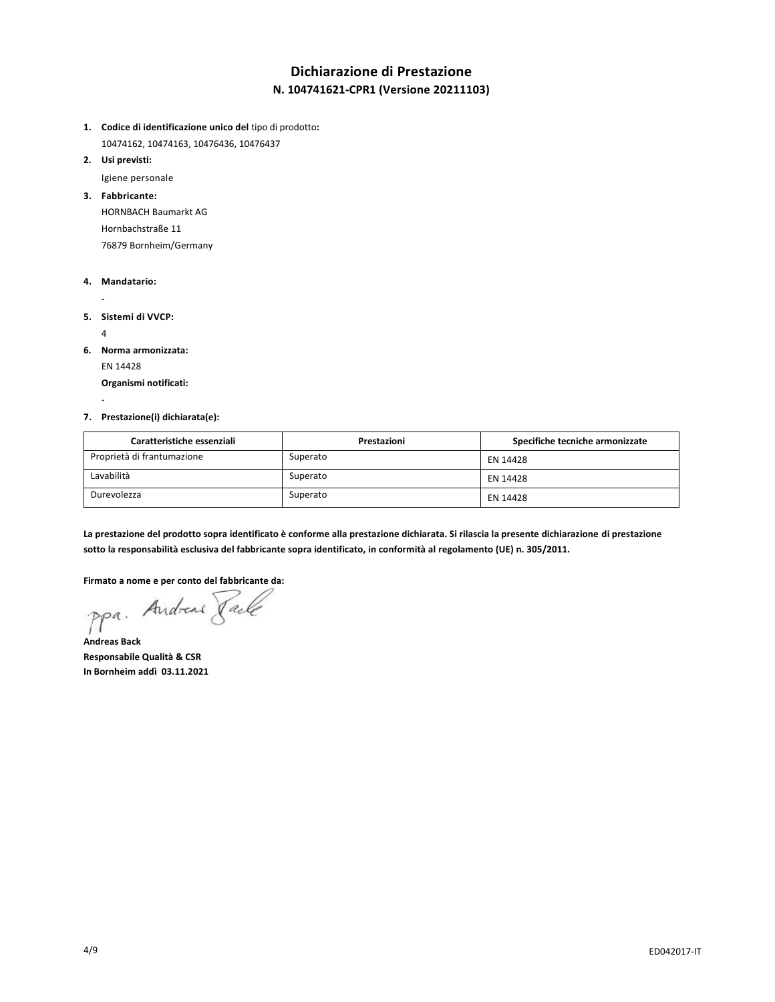# **Dichiarazione di Prestazione N. 104741621-CPR1 (Versione 20211103)**

- **1. Codice di identificazione unico del** tipo di prodotto**:**
- 10474162, 10474163, 10476436, 10476437
- **2. Usi previsti:**

Igiene personale

**3. Fabbricante:**

HORNBACH Baumarkt AG Hornbachstraße 11 76879 Bornheim/Germany

#### **4. Mandatario:**

- **5. Sistemi di VVCP:**

 $\lambda$ 

-

**6. Norma armonizzata:** EN 14428

**Organismi notificati:**

**7. Prestazione(i) dichiarata(e):**

| Caratteristiche essenziali | Prestazioni | Specifiche tecniche armonizzate |
|----------------------------|-------------|---------------------------------|
| Proprietà di frantumazione | Superato    | EN 14428                        |
| Lavabilità                 | Superato    | EN 14428                        |
| Durevolezza                | Superato    | EN 14428                        |

**La prestazione del prodotto sopra identificato è conforme alla prestazione dichiarata. Si rilascia la presente dichiarazione di prestazione sotto la responsabilità esclusiva del fabbricante sopra identificato, in conformità al regolamento (UE) n. 305/2011.**

**Firmato a nome e per conto del fabbricante da:**

**Andreas Back Responsabile Qualità & CSR In Bornheim addì 03.11.2021**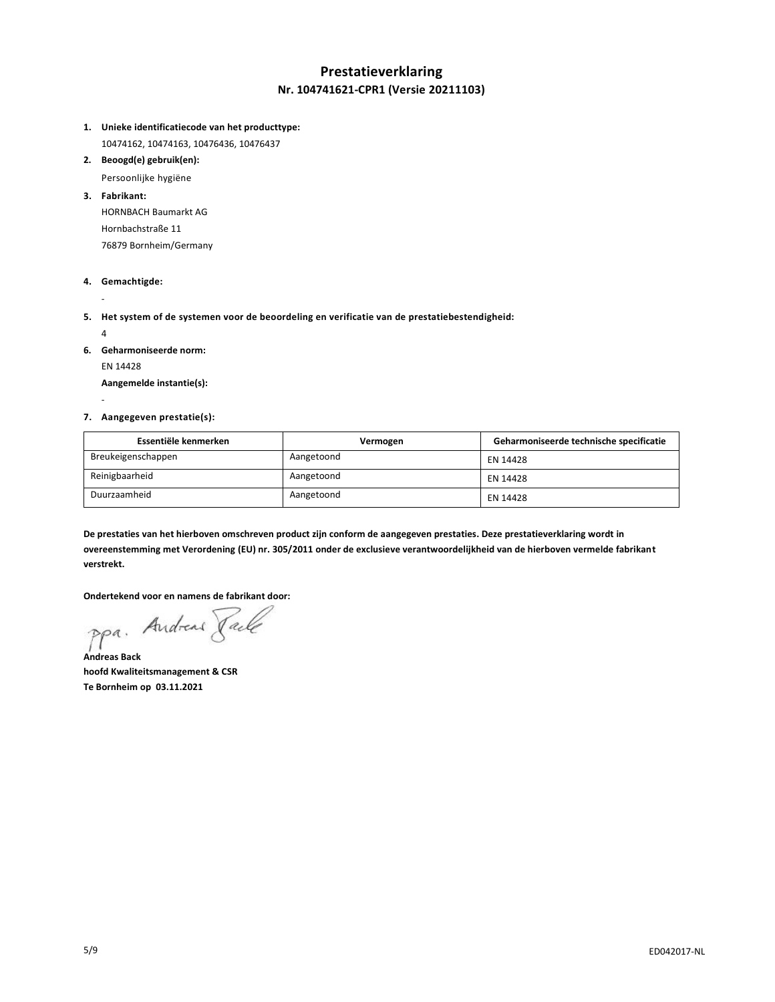## **Prestatieverklaring Nr. 104741621-CPR1 (Versie 20211103)**

- **1. Unieke identificatiecode van het producttype:**
	- 10474162, 10474163, 10476436, 10476437
- **2. Beoogd(e) gebruik(en):**

Persoonlijke hygiëne

**3. Fabrikant:**

HORNBACH Baumarkt AG Hornbachstraße 11 76879 Bornheim/Germany

**4. Gemachtigde:**

-

- **5. Het system of de systemen voor de beoordeling en verificatie van de prestatiebestendigheid:**
	- 4

-

- **6. Geharmoniseerde norm:**
	- EN 14428

**Aangemelde instantie(s):**

#### **7. Aangegeven prestatie(s):**

| Essentiële kenmerken | Vermogen   | Geharmoniseerde technische specificatie |
|----------------------|------------|-----------------------------------------|
| Breukeigenschappen   | Aangetoond | EN 14428                                |
| Reinigbaarheid       | Aangetoond | EN 14428                                |
| Duurzaamheid         | Aangetoond | EN 14428                                |

**De prestaties van het hierboven omschreven product zijn conform de aangegeven prestaties. Deze prestatieverklaring wordt in overeenstemming met Verordening (EU) nr. 305/2011 onder de exclusieve verantwoordelijkheid van de hierboven vermelde fabrikant verstrekt.**

**Ondertekend voor en namens de fabrikant door:**

ppa. Andreas Taile

**Andreas Back hoofd Kwaliteitsmanagement & CSR Te Bornheim op 03.11.2021**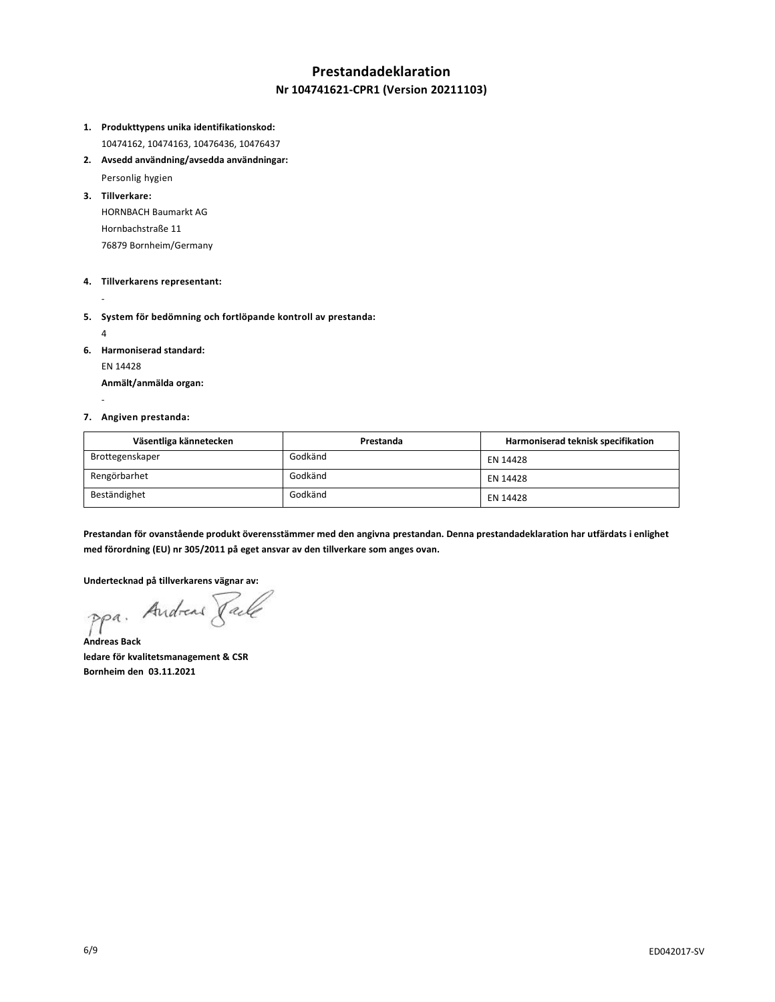# **Prestandadeklaration Nr 104741621-CPR1 (Version 20211103)**

- **1. Produkttypens unika identifikationskod:** 10474162, 10474163, 10476436, 10476437
- **2. Avsedd användning/avsedda användningar:**

Personlig hygien

**3. Tillverkare:**

HORNBACH Baumarkt AG Hornbachstraße 11 76879 Bornheim/Germany

### **4. Tillverkarens representant:**

-

- **5. System för bedömning och fortlöpande kontroll av prestanda:**
	- 4

-

- **6. Harmoniserad standard:**
	- EN 14428

**Anmält/anmälda organ:**

### **7. Angiven prestanda:**

| Väsentliga kännetecken | Prestanda | Harmoniserad teknisk specifikation |
|------------------------|-----------|------------------------------------|
| Brottegenskaper        | Godkänd   | EN 14428                           |
| Rengörbarhet           | Godkänd   | EN 14428                           |
| Beständighet           | Godkänd   | EN 14428                           |

**Prestandan för ovanstående produkt överensstämmer med den angivna prestandan. Denna prestandadeklaration har utfärdats i enlighet med förordning (EU) nr 305/2011 på eget ansvar av den tillverkare som anges ovan.**

**Undertecknad på tillverkarens vägnar av:**

ppa. Andreas Faile

**Andreas Back ledare för kvalitetsmanagement & CSR Bornheim den 03.11.2021**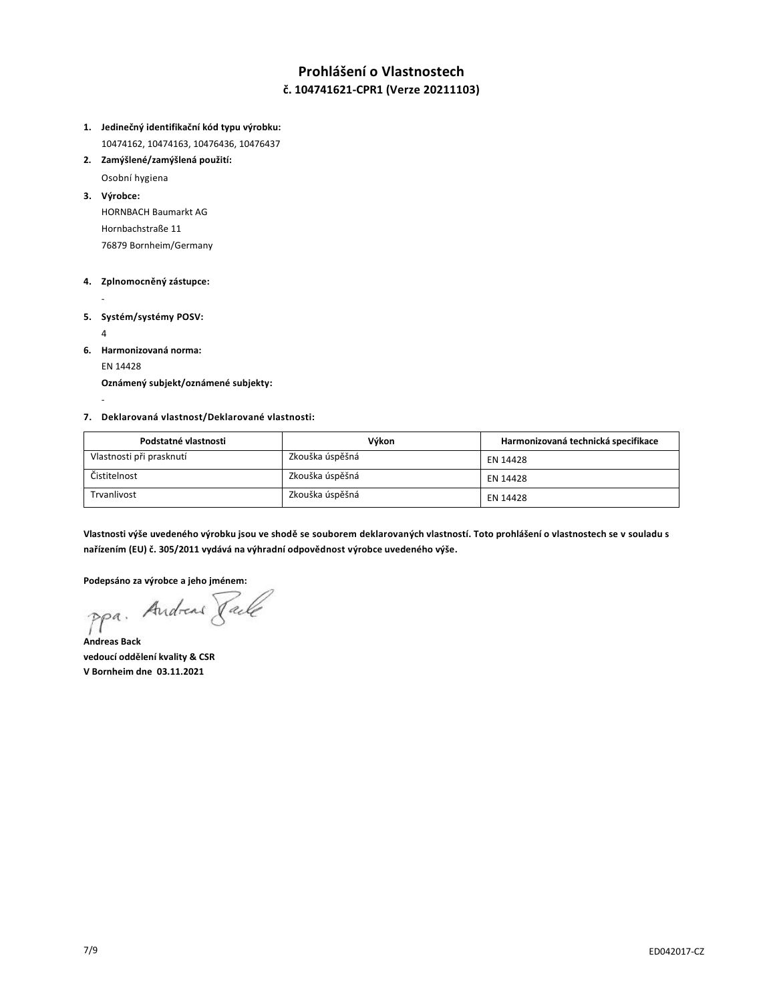## **Prohlášení o Vlastnostech č. 104741621-CPR1 (Verze 20211103)**

- **1. Jedinečný identifikační kód typu výrobku:** 10474162, 10474163, 10476436, 10476437
- **2. Zamýšlené/zamýšlená použití:**

Osobní hygiena

**3. Výrobce:**

-

HORNBACH Baumarkt AG Hornbachstraße 11 76879 Bornheim/Germany

### **4. Zplnomocněný zástupce:**

- **5. Systém/systémy POSV:** 4

- **6. Harmonizovaná norma:** EN 14428 **Oznámený subjekt/oznámené subjekty:**
- **7. Deklarovaná vlastnost/Deklarované vlastnosti:**

| Podstatné vlastnosti     | Výkon           | Harmonizovaná technická specifikace |
|--------------------------|-----------------|-------------------------------------|
| Vlastnosti při prasknutí | Zkouška úspěšná | EN 14428                            |
| Čistitelnost             | Zkouška úspěšná | EN 14428                            |
| Trvanlivost              | Zkouška úspěšná | EN 14428                            |

**Vlastnosti výše uvedeného výrobku jsou ve shodě se souborem deklarovaných vlastností. Toto prohlášení o vlastnostech se v souladu s nařízením (EU) č. 305/2011 vydává na výhradní odpovědnost výrobce uvedeného výše.**

**Podepsáno za výrobce a jeho jménem:**

**Andreas Back vedoucí oddělení kvality & CSR V Bornheim dne 03.11.2021**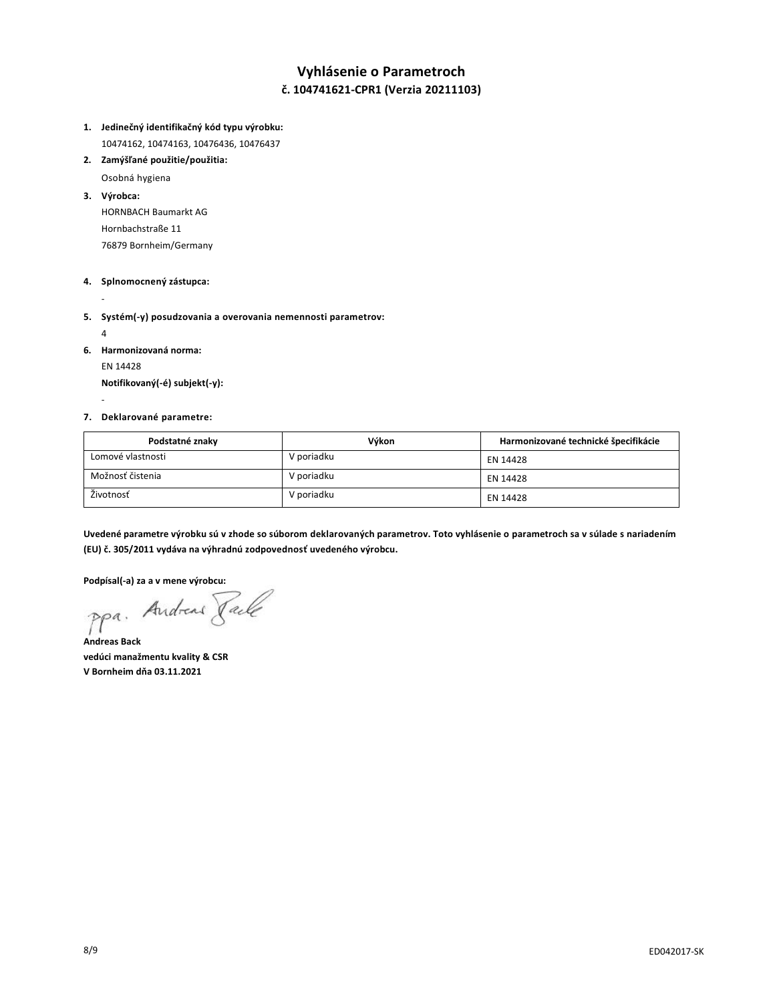## **Vyhlásenie o Parametroch č. 104741621-CPR1 (Verzia 20211103)**

- **1. Jedinečný identifikačný kód typu výrobku:** 10474162, 10474163, 10476436, 10476437
- **2. Zamýšľané použitie/použitia:**

Osobná hygiena

**3. Výrobca:**

HORNBACH Baumarkt AG Hornbachstraße 11 76879 Bornheim/Germany

### **4. Splnomocnený zástupca:**

-

- **5. Systém(-y) posudzovania a overovania nemennosti parametrov:**
	- 4

-

**6. Harmonizovaná norma:** EN 14428

**Notifikovaný(-é) subjekt(-y):**

### **7. Deklarované parametre:**

| Podstatné znaky   | Výkon      | Harmonizované technické špecifikácie |
|-------------------|------------|--------------------------------------|
| Lomové vlastnosti | V poriadku | EN 14428                             |
| Možnosť čistenia  | V poriadku | EN 14428                             |
| Životnosť         | V poriadku | EN 14428                             |

**Uvedené parametre výrobku sú v zhode so súborom deklarovaných parametrov. Toto vyhlásenie o parametroch sa v súlade s nariadením (EU) č. 305/2011 vydáva na výhradnú zodpovednosť uvedeného výrobcu.**

**Podpísal(-a) za a v mene výrobcu:**

**Andreas Back vedúci manažmentu kvality & CSR V Bornheim dňa 03.11.2021**